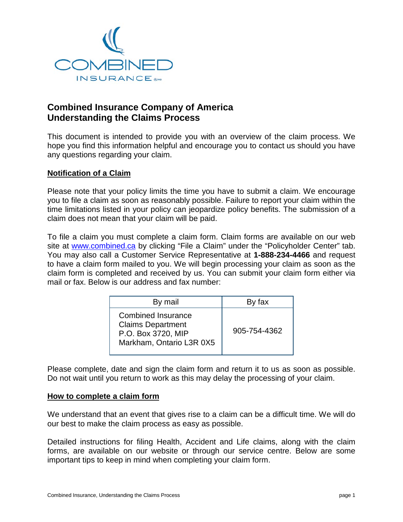

# **Combined Insurance Company of America Understanding the Claims Process**

This document is intended to provide you with an overview of the claim process. We hope you find this information helpful and encourage you to contact us should you have any questions regarding your claim.

## **Notification of a Claim**

Please note that your policy limits the time you have to submit a claim. We encourage you to file a claim as soon as reasonably possible. Failure to report your claim within the time limitations listed in your policy can jeopardize policy benefits. The submission of a claim does not mean that your claim will be paid.

To file a claim you must complete a claim form. Claim forms are available on our web site at [www.combined.ca](http://www.combined.ca/) by clicking "File a Claim" under the "Policyholder Center" tab. You may also call a Customer Service Representative at **1-888-234-4466** and request to have a claim form mailed to you. We will begin processing your claim as soon as the claim form is completed and received by us. You can submit your claim form either via mail or fax. Below is our address and fax number:

| By mail                                                                                          | By fax       |
|--------------------------------------------------------------------------------------------------|--------------|
| Combined Insurance<br><b>Claims Department</b><br>P.O. Box 3720, MIP<br>Markham, Ontario L3R 0X5 | 905-754-4362 |

Please complete, date and sign the claim form and return it to us as soon as possible. Do not wait until you return to work as this may delay the processing of your claim.

#### **How to complete a claim form**

We understand that an event that gives rise to a claim can be a difficult time. We will do our best to make the claim process as easy as possible.

Detailed instructions for filing Health, Accident and Life claims, along with the claim forms, are available on our website or through our service centre. Below are some important tips to keep in mind when completing your claim form.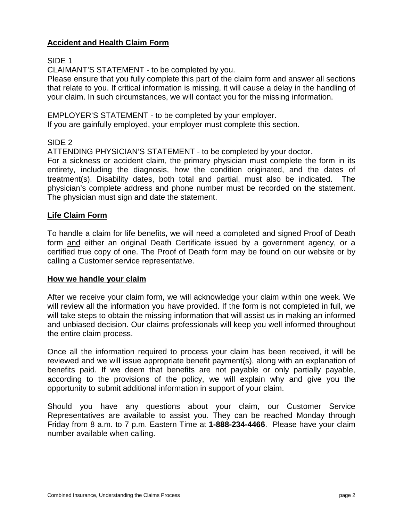## **Accident and Health Claim Form**

## SIDE 1

CLAIMANT'S STATEMENT - to be completed by you.

Please ensure that you fully complete this part of the claim form and answer all sections that relate to you. If critical information is missing, it will cause a delay in the handling of your claim. In such circumstances, we will contact you for the missing information.

EMPLOYER'S STATEMENT - to be completed by your employer. If you are gainfully employed, your employer must complete this section.

# SIDE 2

ATTENDING PHYSICIAN'S STATEMENT - to be completed by your doctor.

For a sickness or accident claim, the primary physician must complete the form in its entirety, including the diagnosis, how the condition originated, and the dates of treatment(s). Disability dates, both total and partial, must also be indicated. The physician's complete address and phone number must be recorded on the statement. The physician must sign and date the statement.

## **Life Claim Form**

To handle a claim for life benefits, we will need a completed and signed Proof of Death form and either an original Death Certificate issued by a government agency, or a certified true copy of one. The Proof of Death form may be found on our website or by calling a Customer service representative.

#### **How we handle your claim**

After we receive your claim form, we will acknowledge your claim within one week. We will review all the information you have provided. If the form is not completed in full, we will take steps to obtain the missing information that will assist us in making an informed and unbiased decision. Our claims professionals will keep you well informed throughout the entire claim process.

Once all the information required to process your claim has been received, it will be reviewed and we will issue appropriate benefit payment(s), along with an explanation of benefits paid. If we deem that benefits are not payable or only partially payable, according to the provisions of the policy, we will explain why and give you the opportunity to submit additional information in support of your claim.

Should you have any questions about your claim, our Customer Service Representatives are available to assist you. They can be reached Monday through Friday from 8 a.m. to 7 p.m. Eastern Time at **1-888-234-4466**. Please have your claim number available when calling.